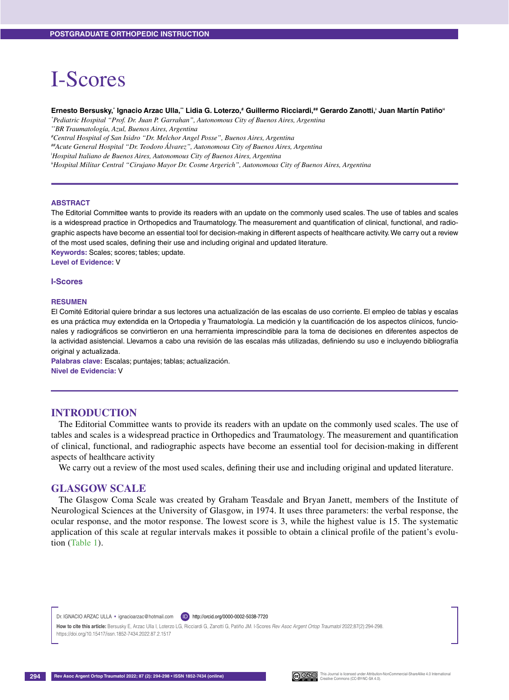# I-Scores

#### **Ernesto Bersusky,\* Ignacio Arzac Ulla,\*\* Lidia G. Loterzo,# Guillermo Ricciardi,## Gerardo Zanotti,<sup>ǂ</sup> Juan Martín Patiñoǂǂ**

*\* Pediatric Hospital "Prof. Dr. Juan P. Garrahan", Autonomous City of Buenos Aires, Argentina*

*\*\*BR Traumatología, Azul, Buenos Aires, Argentina*

*# Central Hospital of San Isidro "Dr. Melchor Angel Posse", Buenos Aires, Argentina*

*##Acute General Hospital "Dr. Teodoro Álvarez", Autonomous City of Buenos Aires, Argentina*

*ǂ Hospital Italiano de Buenos Aires, Autonomous City of Buenos Aires, Argentina*

*ǂǂHospital Militar Central "Cirujano Mayor Dr. Cosme Argerich", Autonomous City of Buenos Aires, Argentina*

#### **ABSTRACT**

The Editorial Committee wants to provide its readers with an update on the commonly used scales. The use of tables and scales is a widespread practice in Orthopedics and Traumatology. The measurement and quantification of clinical, functional, and radiographic aspects have become an essential tool for decision-making in different aspects of healthcare activity. We carry out a review of the most used scales, defining their use and including original and updated literature.

**Keywords:** Scales; scores; tables; update.

**Level of Evidence:** V

#### **I-Scores**

#### **RESUMEN**

El Comité Editorial quiere brindar a sus lectores una actualización de las escalas de uso corriente. El empleo de tablas y escalas es una práctica muy extendida en la Ortopedia y Traumatología. La medición y la cuantificación de los aspectos clínicos, funcionales y radiográficos se convirtieron en una herramienta imprescindible para la toma de decisiones en diferentes aspectos de la actividad asistencial. Llevamos a cabo una revisión de las escalas más utilizadas, definiendo su uso e incluyendo bibliografía original y actualizada.

**Palabras clave:** Escalas; puntajes; tablas; actualización.

**Nivel de Evidencia:** V

## **INTRODUCTION**

The Editorial Committee wants to provide its readers with an update on the commonly used scales. The use of tables and scales is a widespread practice in Orthopedics and Traumatology. The measurement and quantification of clinical, functional, and radiographic aspects have become an essential tool for decision-making in different aspects of healthcare activity

We carry out a review of the most used scales, defining their use and including original and updated literature.

### **GLASGOW SCALE**

The Glasgow Coma Scale was created by Graham Teasdale and Bryan Janett, members of the Institute of Neurological Sciences at the University of Glasgow, in 1974. It uses three parameters: the verbal response, the ocular response, and the motor response. The lowest score is 3, while the highest value is 15. The systematic application of this scale at regular intervals makes it possible to obtain a clinical profile of the patient's evolution (Table 1).

Dr. IGNACIO ARZAC ULLA · ignacioarzac@hotmail.com **D** http://orcid.org/0000-0002-5038-7720

How to cite this article: Bersusky E, Arzac Ulla I, Loterzo LG, Ricciardi G, Zanotti G, Patiño JM. I-Scores Rev Asoc Argent Ortop Traumatol 2022;87(2):294-298 https://doi.org/10.15417/issn.1852-7434.2022.87.2.1517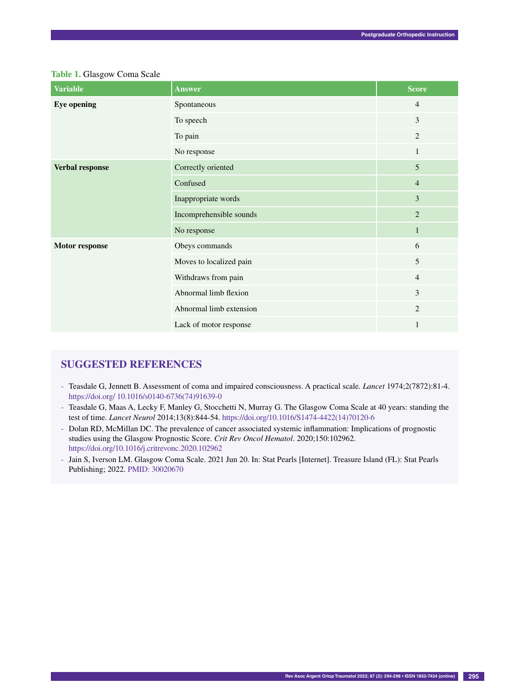|  | Table 1. Glasgow Coma Scale |  |  |
|--|-----------------------------|--|--|
|--|-----------------------------|--|--|

| <b>Variable</b>    | <b>Answer</b>           | <b>Score</b>   |
|--------------------|-------------------------|----------------|
| <b>Eye opening</b> | Spontaneous             | $\overline{4}$ |
|                    | To speech               | 3              |
|                    | To pain                 | $\overline{2}$ |
|                    | No response             | $\mathbf{1}$   |
| Verbal response    | Correctly oriented      | $\overline{5}$ |
|                    | Confused                | $\overline{4}$ |
|                    | Inappropriate words     | 3              |
|                    | Incomprehensible sounds | $\overline{2}$ |
|                    | No response             | $\mathbf{1}$   |
| Motor response     | Obeys commands          | 6              |
|                    | Moves to localized pain | 5              |
|                    | Withdraws from pain     | $\overline{4}$ |
|                    | Abnormal limb flexion   | $\overline{3}$ |
|                    | Abnormal limb extension | $\overline{2}$ |
|                    | Lack of motor response  | $\mathbf{1}$   |

# **Suggested references**

- Teasdale G, Jennett B. Assessment of coma and impaired consciousness. A practical scale*. Lancet* 1974;2(7872):81-4. https://doi.org/ 10.1016/s0140-6736(74)91639-0
- Teasdale G, Maas A, Lecky F, Manley G, Stocchetti N, Murray G. The Glasgow Coma Scale at 40 years: standing the test of time. *Lancet Neurol* 2014;13(8):844-54. https://doi.org/10.1016/S1474-4422(14)70120-6
- Dolan RD, McMillan DC. The prevalence of cancer associated systemic inflammation: Implications of prognostic studies using the Glasgow Prognostic Score. *Crit Rev Oncol Hematol*. 2020;150:102962. https://doi.org/10.1016/j.critrevonc.2020.102962
- Jain S, Iverson LM. Glasgow Coma Scale. 2021 Jun 20. In: Stat Pearls [Internet]. Treasure Island (FL): Stat Pearls Publishing; 2022. PMID: 30020670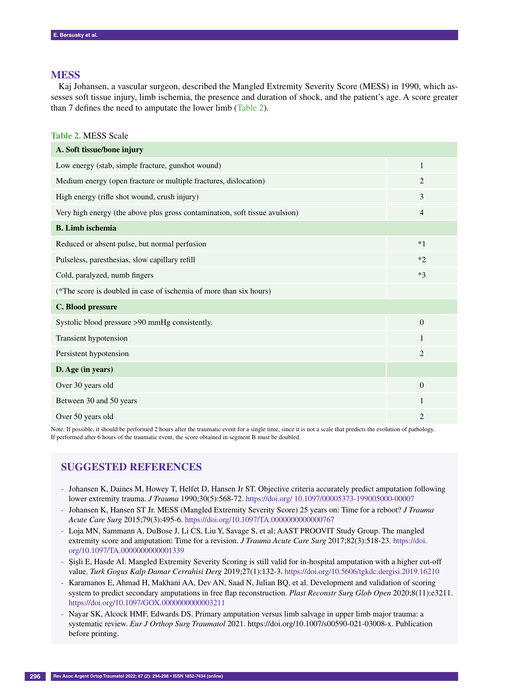## **MESS**

Kaj Johansen, a vascular surgeon, described the Mangled Extremity Severity Score (MESS) in 1990, which assesses soft tissue injury, limb ischemia, the presence and duration of shock, and the patient's age. A score greater than 7 defines the need to amputate the lower limb (Table 2).

**Table 2.** MESS Scale

| A. Soft tissue/bone injury                                                  |                |
|-----------------------------------------------------------------------------|----------------|
| Low energy (stab, simple fracture, gunshot wound)                           | $\mathbf{1}$   |
| Medium energy (open fracture or multiple fractures, dislocation)            | 2              |
| High energy (rifle shot wound, crush injury)                                | 3              |
| Very high energy (the above plus gross contamination, soft tissue avulsion) | $\overline{4}$ |
| <b>B.</b> Limb ischemia                                                     |                |
| Reduced or absent pulse, but normal perfusion                               | $*1$           |
| Pulseless, paresthesias, slow capillary refill                              | $*2$           |
| Cold, paralyzed, numb fingers                                               | $*3$           |
| (*The score is doubled in case of ischemia of more than six hours)          |                |
| C. Blood pressure                                                           |                |
| Systolic blood pressure >90 mmHg consistently.                              | $\overline{0}$ |
| Transient hypotension                                                       | $\mathbf{1}$   |
| Persistent hypotension                                                      | $\overline{2}$ |
| D. Age (in years)                                                           |                |
| Over 30 years old                                                           | $\Omega$       |
| Between 30 and 50 years                                                     | 1              |
| Over 50 years old                                                           | $\overline{c}$ |

Note: If possible, it should be performed 2 hours after the traumatic event for a single time, since it is not a scale that predicts the evolution of pathology. If performed after 6 hours of the traumatic event, the score obtained in segment B must be doubled.

# **Suggested references**

- Johansen K, Daines M, Howey T, Helfet D, Hansen Jr ST. Objective criteria accurately predict amputation following lower extremity trauma. *J Trauma* 1990;30(5):568-72. https://doi.org/ 10.1097/00005373-199005000-00007
- Johansen K, Hansen ST Jr. MESS (Mangled Extremity Severity Score) 25 years on: Time for a reboot? *J Trauma Acute Care Surg* 2015;79(3):495-6. https://doi.org/10.1097/TA.0000000000000767
- Loja MN, Sammann A, DuBose J, Li CS, Liu Y, Savage S, et al; AAST PROOVIT Study Group. The mangled extremity score and amputation: Time for a revision. *J Trauma Acute Care Surg* 2017;82(3):518-23. https://doi. org/10.1097/TA.0000000000001339
- Şişli E, Hasde Aİ. Mangled Extremity Severity Scoring is still valid for in-hospital amputation with a higher cut-off value. *Turk Gogus Kalp Damar Cerrahisi Derg* 2019;27(1):132-3. https://doi.org/10.5606/tgkdc.dergisi.2019.16210
- Karamanos E, Ahmad H, Makhani AA, Dev AN, Saad N, Julian BQ, et al. Development and validation of scoring system to predict secondary amputations in free flap reconstruction. *Plast Reconstr Surg Glob Open* 2020;8(11):e3211. https://doi.org/10.1097/GOX.0000000000003211
- Nayar SK, Alcock HMF, Edwards DS. Primary amputation versus limb salvage in upper limb major trauma: a systematic review. *Eur J Orthop Surg Traumatol* 2021. https://doi.org/10.1007/s00590-021-03008-x. Publication before printing.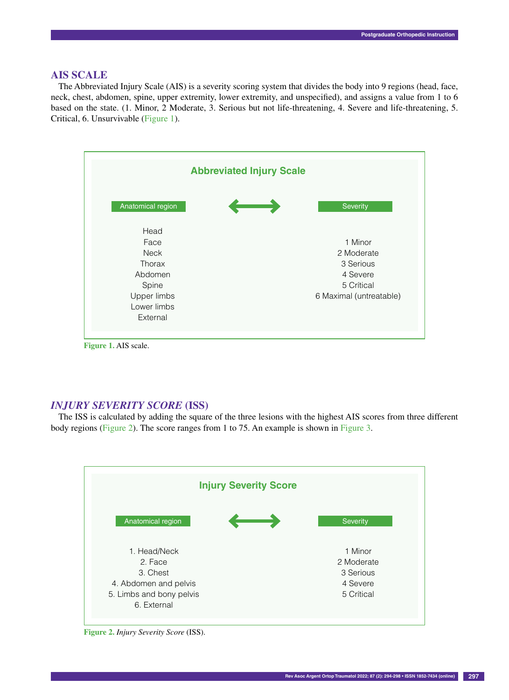## **AIS SCALE**

The Abbreviated Injury Scale (AIS) is a severity scoring system that divides the body into 9 regions (head, face, neck, chest, abdomen, spine, upper extremity, lower extremity, and unspecified), and assigns a value from 1 to 6 based on the state. (1. Minor, 2 Moderate, 3. Serious but not life-threatening, 4. Severe and life-threatening, 5. Critical, 6. Unsurvivable (Figure 1).



**Figure 1.** AIS scale.

## *INJURY SEVERITY SCORE* **(ISS)**

The ISS is calculated by adding the square of the three lesions with the highest AIS scores from three different body regions (Figure 2). The score ranges from 1 to 75. An example is shown in Figure 3.



**Figure 2.** *Injury Severity Score* (ISS).